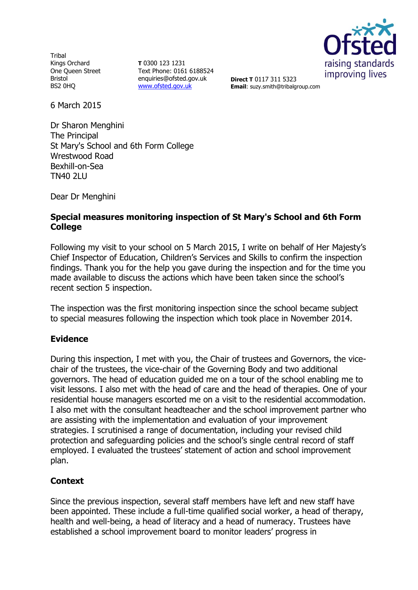Tribal Kings Orchard One Queen Street Bristol BS2 0HQ

**T** 0300 123 1231 Text Phone: 0161 6188524 enquiries@ofsted.gov.uk [www.ofsted.gov.uk](http://www.ofsted.gov.uk/)



**Direct T** 0117 311 5323 **Email**: suzy.smith@tribalgroup.com

6 March 2015

Dr Sharon Menghini The Principal St Mary's School and 6th Form College Wrestwood Road Bexhill-on-Sea TN40 2LU

Dear Dr Menghini

## **Special measures monitoring inspection of St Mary's School and 6th Form College**

Following my visit to your school on 5 March 2015, I write on behalf of Her Majesty's Chief Inspector of Education, Children's Services and Skills to confirm the inspection findings. Thank you for the help you gave during the inspection and for the time you made available to discuss the actions which have been taken since the school's recent section 5 inspection.

The inspection was the first monitoring inspection since the school became subject to special measures following the inspection which took place in November 2014.

## **Evidence**

During this inspection, I met with you, the Chair of trustees and Governors, the vicechair of the trustees, the vice-chair of the Governing Body and two additional governors. The head of education guided me on a tour of the school enabling me to visit lessons. I also met with the head of care and the head of therapies. One of your residential house managers escorted me on a visit to the residential accommodation. I also met with the consultant headteacher and the school improvement partner who are assisting with the implementation and evaluation of your improvement strategies. I scrutinised a range of documentation, including your revised child protection and safeguarding policies and the school's single central record of staff employed. I evaluated the trustees' statement of action and school improvement plan.

## **Context**

Since the previous inspection, several staff members have left and new staff have been appointed. These include a full-time qualified social worker, a head of therapy, health and well-being, a head of literacy and a head of numeracy. Trustees have established a school improvement board to monitor leaders' progress in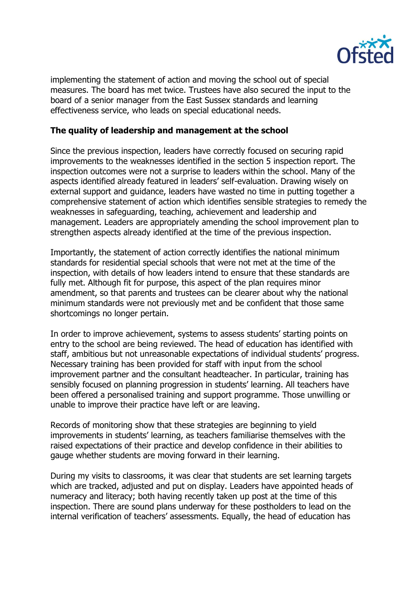

implementing the statement of action and moving the school out of special measures. The board has met twice. Trustees have also secured the input to the board of a senior manager from the East Sussex standards and learning effectiveness service, who leads on special educational needs.

## **The quality of leadership and management at the school**

Since the previous inspection, leaders have correctly focused on securing rapid improvements to the weaknesses identified in the section 5 inspection report. The inspection outcomes were not a surprise to leaders within the school. Many of the aspects identified already featured in leaders' self-evaluation. Drawing wisely on external support and guidance, leaders have wasted no time in putting together a comprehensive statement of action which identifies sensible strategies to remedy the weaknesses in safeguarding, teaching, achievement and leadership and management. Leaders are appropriately amending the school improvement plan to strengthen aspects already identified at the time of the previous inspection.

Importantly, the statement of action correctly identifies the national minimum standards for residential special schools that were not met at the time of the inspection, with details of how leaders intend to ensure that these standards are fully met. Although fit for purpose, this aspect of the plan requires minor amendment, so that parents and trustees can be clearer about why the national minimum standards were not previously met and be confident that those same shortcomings no longer pertain.

In order to improve achievement, systems to assess students' starting points on entry to the school are being reviewed. The head of education has identified with staff, ambitious but not unreasonable expectations of individual students' progress. Necessary training has been provided for staff with input from the school improvement partner and the consultant headteacher. In particular, training has sensibly focused on planning progression in students' learning. All teachers have been offered a personalised training and support programme. Those unwilling or unable to improve their practice have left or are leaving.

Records of monitoring show that these strategies are beginning to yield improvements in students' learning, as teachers familiarise themselves with the raised expectations of their practice and develop confidence in their abilities to gauge whether students are moving forward in their learning.

During my visits to classrooms, it was clear that students are set learning targets which are tracked, adjusted and put on display. Leaders have appointed heads of numeracy and literacy; both having recently taken up post at the time of this inspection. There are sound plans underway for these postholders to lead on the internal verification of teachers' assessments. Equally, the head of education has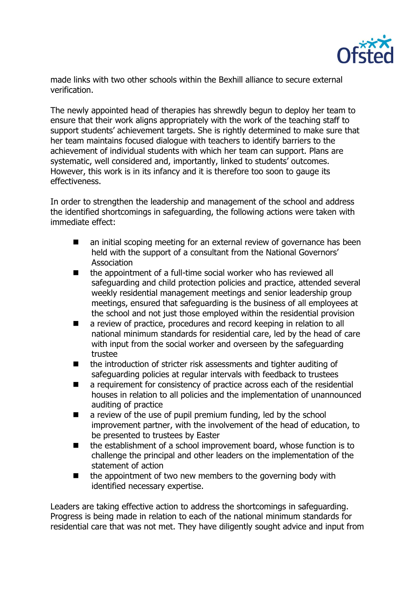

made links with two other schools within the Bexhill alliance to secure external verification.

The newly appointed head of therapies has shrewdly begun to deploy her team to ensure that their work aligns appropriately with the work of the teaching staff to support students' achievement targets. She is rightly determined to make sure that her team maintains focused dialogue with teachers to identify barriers to the achievement of individual students with which her team can support. Plans are systematic, well considered and, importantly, linked to students' outcomes. However, this work is in its infancy and it is therefore too soon to gauge its effectiveness.

In order to strengthen the leadership and management of the school and address the identified shortcomings in safeguarding, the following actions were taken with immediate effect:

- an initial scoping meeting for an external review of governance has been held with the support of a consultant from the National Governors' Association
- the appointment of a full-time social worker who has reviewed all safeguarding and child protection policies and practice, attended several weekly residential management meetings and senior leadership group meetings, ensured that safeguarding is the business of all employees at the school and not just those employed within the residential provision
- a review of practice, procedures and record keeping in relation to all national minimum standards for residential care, led by the head of care with input from the social worker and overseen by the safeguarding trustee
- the introduction of stricter risk assessments and tighter auditing of safeguarding policies at regular intervals with feedback to trustees
- a requirement for consistency of practice across each of the residential houses in relation to all policies and the implementation of unannounced auditing of practice
- a review of the use of pupil premium funding, led by the school improvement partner, with the involvement of the head of education, to be presented to trustees by Easter
- the establishment of a school improvement board, whose function is to challenge the principal and other leaders on the implementation of the statement of action
- $\blacksquare$  the appointment of two new members to the governing body with identified necessary expertise.

Leaders are taking effective action to address the shortcomings in safeguarding. Progress is being made in relation to each of the national minimum standards for residential care that was not met. They have diligently sought advice and input from